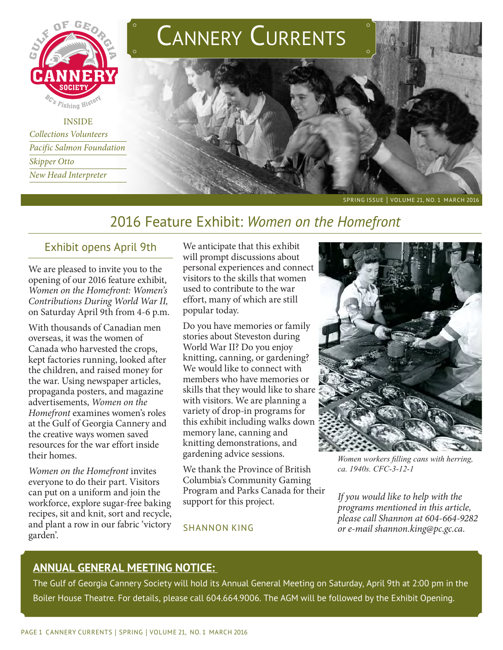

INSIDE *Collections Volunteers Pacific Salmon Foundation Skipper Otto New Head Interpreter*



SPRING ISSUE | VOLUME 21, NO. 1 MARCH 2016

# 2016 Feature Exhibit: *Women on the Homefront*

## Exhibit opens April 9th

We are pleased to invite you to the opening of our 2016 feature exhibit, *Women on the Homefront: Women's Contributions During World War II,*  on Saturday April 9th from 4-6 p.m.

With thousands of Canadian men overseas, it was the women of Canada who harvested the crops, kept factories running, looked after the children, and raised money for the war. Using newspaper articles, propaganda posters, and magazine advertisements, *Women on the Homefront* examines women's roles at the Gulf of Georgia Cannery and the creative ways women saved resources for the war effort inside their homes.

*Women on the Homefront* invites everyone to do their part. Visitors can put on a uniform and join the workforce, explore sugar-free baking recipes, sit and knit, sort and recycle, and plant a row in our fabric 'victory garden'.

We anticipate that this exhibit will prompt discussions about personal experiences and connect visitors to the skills that women used to contribute to the war effort, many of which are still popular today.

Do you have memories or family stories about Steveston during World War II? Do you enjoy knitting, canning, or gardening? We would like to connect with members who have memories or skills that they would like to share with visitors. We are planning a variety of drop-in programs for this exhibit including walks down memory lane, canning and knitting demonstrations, and gardening advice sessions.

We thank the Province of British Columbia's Community Gaming Program and Parks Canada for their support for this project.





*Women workers filling cans with herring, ca. 1940s. CFC-3-12-1*

*If you would like to help with the programs mentioned in this article, please call Shannon at 604-664-9282 or e-mail shannon.king@pc.gc.ca.* 

## **ANNUAL GENERAL MEETING NOTICE:**

The Gulf of Georgia Cannery Society will hold its Annual General Meeting on Saturday, April 9th at 2:00 pm in the Boiler House Theatre. For details, please call 604.664.9006. The AGM will be followed by the Exhibit Opening.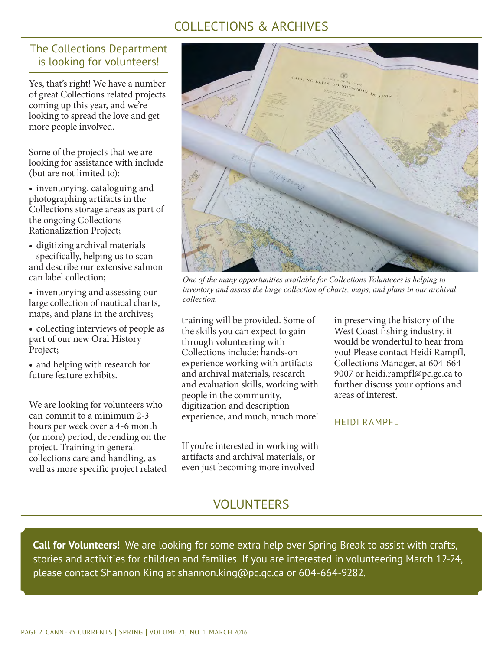# COLLECTIONS & ARCHIVES

## The Collections Department is looking for volunteers!

Yes, that's right! We have a number of great Collections related projects coming up this year, and we're looking to spread the love and get more people involved.

Some of the projects that we are looking for assistance with include (but are not limited to):

• inventorying, cataloguing and photographing artifacts in the Collections storage areas as part of the ongoing Collections Rationalization Project;

- • digitizing archival materials – specifically, helping us to scan and describe our extensive salmon can label collection;
- inventorying and assessing our large collection of nautical charts, maps, and plans in the archives;

• collecting interviews of people as part of our new Oral History Project;

• and helping with research for future feature exhibits.

We are looking for volunteers who can commit to a minimum 2-3 hours per week over a 4-6 month (or more) period, depending on the project. Training in general collections care and handling, as well as more specific project related



*One of the many opportunities available for Collections Volunteers is helping to inventory and assess the large collection of charts, maps, and plans in our archival collection.* 

training will be provided. Some of the skills you can expect to gain through volunteering with Collections include: hands-on experience working with artifacts and archival materials, research and evaluation skills, working with people in the community, digitization and description experience, and much, much more!

If you're interested in working with artifacts and archival materials, or even just becoming more involved

in preserving the history of the West Coast fishing industry, it would be wonderful to hear from you! Please contact Heidi Rampfl, Collections Manager, at 604-664- 9007 or heidi.rampfl@pc.gc.ca to further discuss your options and areas of interest.

HEIDI RAMPFL

VOLUNTEERS

**Call for Volunteers!** We are looking for some extra help over Spring Break to assist with crafts, stories and activities for children and families. If you are interested in volunteering March 12-24, please contact Shannon King at shannon.king@pc.gc.ca or 604-664-9282.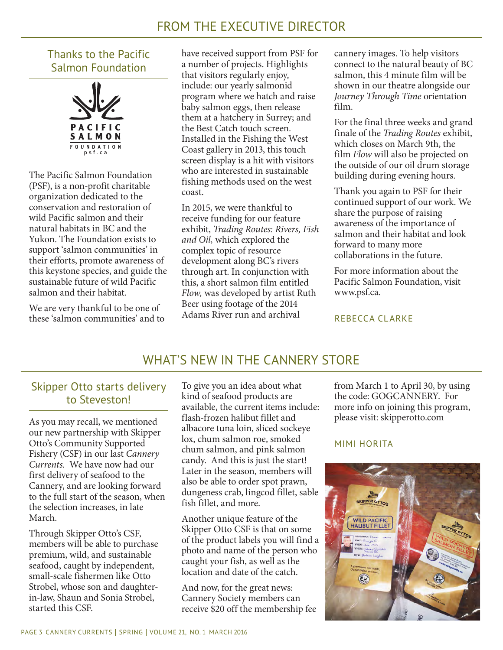# FROM THE EXECUTIVE DIRECTOR

## Thanks to the Pacific Salmon Foundation



The Pacific Salmon Foundation (PSF), is a non-profit charitable organization dedicated to the conservation and restoration of wild Pacific salmon and their natural habitats in BC and the Yukon. The Foundation exists to support 'salmon communities' in their efforts, promote awareness of this keystone species, and guide the sustainable future of wild Pacific salmon and their habitat.

We are very thankful to be one of these 'salmon communities' and to have received support from PSF for a number of projects. Highlights that visitors regularly enjoy, include: our yearly salmonid program where we hatch and raise baby salmon eggs, then release them at a hatchery in Surrey; and the Best Catch touch screen. Installed in the Fishing the West Coast gallery in 2013, this touch screen display is a hit with visitors who are interested in sustainable fishing methods used on the west coast.

In 2015, we were thankful to receive funding for our feature exhibit, *Trading Routes: Rivers, Fish and Oil,* which explored the complex topic of resource development along BC's rivers through art. In conjunction with this, a short salmon film entitled *Flow,* was developed by artist Ruth Beer using footage of the 2014 Adams River run and archival

cannery images. To help visitors connect to the natural beauty of BC salmon, this 4 minute film will be shown in our theatre alongside our *Journey Through Time* orientation film.

For the final three weeks and grand finale of the *Trading Routes* exhibit, which closes on March 9th, the film *Flow* will also be projected on the outside of our oil drum storage building during evening hours.

Thank you again to PSF for their continued support of our work. We share the purpose of raising awareness of the importance of salmon and their habitat and look forward to many more collaborations in the future.

For more information about the Pacific Salmon Foundation, visit www.psf.ca.

#### REBECCA CLARKE

## WHAT'S NEW IN THE CANNERY STORE

## Skipper Otto starts delivery to Steveston!

As you may recall, we mentioned our new partnership with Skipper Otto's Community Supported Fishery (CSF) in our last *Cannery Currents.* We have now had our first delivery of seafood to the Cannery, and are looking forward to the full start of the season, when the selection increases, in late March.

Through Skipper Otto's CSF, members will be able to purchase premium, wild, and sustainable seafood, caught by independent, small-scale fishermen like Otto Strobel, whose son and daughterin-law, Shaun and Sonia Strobel, started this CSF.

To give you an idea about what kind of seafood products are available, the current items include: flash-frozen halibut fillet and albacore tuna loin, sliced sockeye lox, chum salmon roe, smoked chum salmon, and pink salmon candy. And this is just the start! Later in the season, members will also be able to order spot prawn, dungeness crab, lingcod fillet, sable fish fillet, and more.

Another unique feature of the Skipper Otto CSF is that on some of the product labels you will find a photo and name of the person who caught your fish, as well as the location and date of the catch.

And now, for the great news: Cannery Society members can receive \$20 off the membership fee from March 1 to April 30, by using the code: GOGCANNERY. For more info on joining this program, please visit: skipperotto.com

### MIMI HORITA